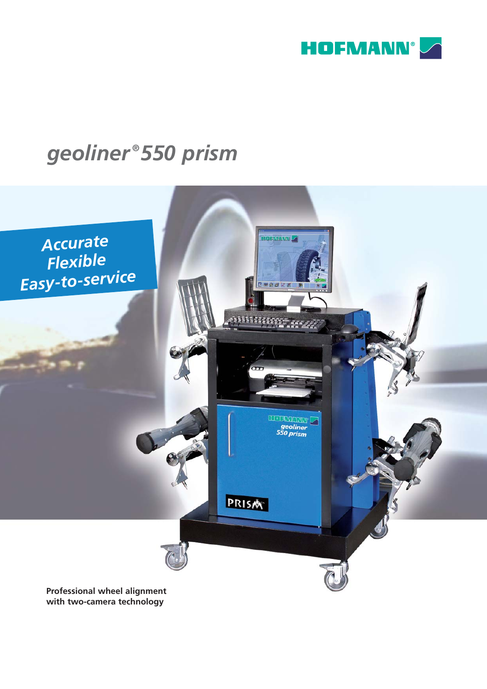

# geoliner®550 prism



with two-camera technology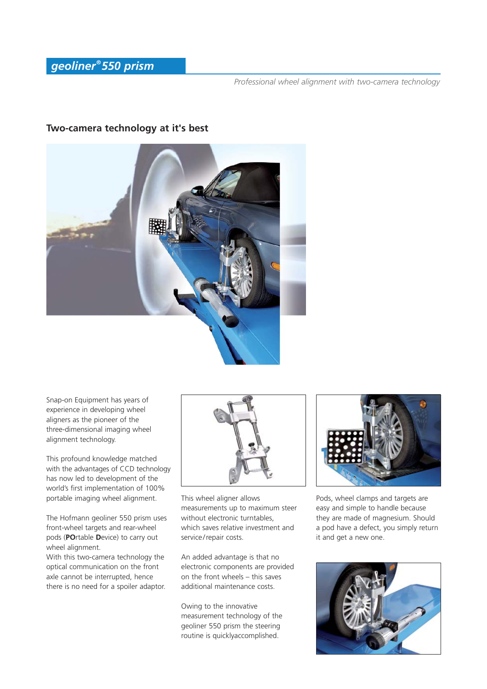### **Two-camera technology at it's best**



Snap-on Equipment has years of experience in developing wheel aligners as the pioneer of the three-dimensional imaging wheel alignment technology.

This profound knowledge matched with the advantages of CCD technology has now led to development of the world's first implementation of 100% portable imaging wheel alignment.

The Hofmann geoliner 550 prism uses front-wheel targets and rear-wheel pods (**PO**rtable **D**evice) to carry out wheel alignment.

With this two-camera technology the optical communication on the front axle cannot be interrupted, hence there is no need for a spoiler adaptor.



This wheel aligner allows measurements up to maximum steer without electronic turntables which saves relative investment and service/repair costs.

An added advantage is that no electronic components are provided on the front wheels – this saves additional maintenance costs.

Owing to the innovative measurement technology of the geoliner 550 prism the steering routine is quicklyaccomplished.



Pods, wheel clamps and targets are easy and simple to handle because they are made of magnesium. Should a pod have a defect, you simply return it and get a new one.

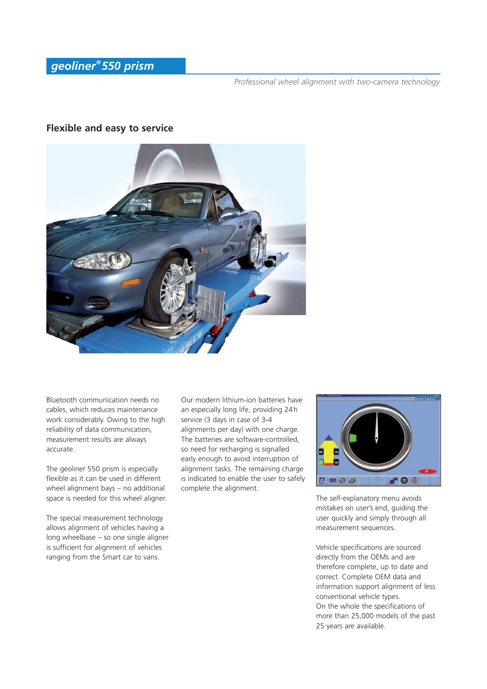#### **Flexible and easy to service**



Bluetooth communication needs no cables, which reduces maintenance work considerably. Owing to the high reliability of data communication, measurement results are always accurate.

The geoliner 550 prism is especially flexible as it can be used in different wheel alignment bays – no additional space is needed for this wheel aligner.

The special measurement technology allows alignment of vehicles having a long wheelbase – so one single aligner is sufficient for alignment of vehicles ranging from the Smart car to vans.

Our modern lithium-ion batteries have an especially long life, providing 24 h service (3 days in case of 3-4 alignments per day) with one charge. The batteries are software-controlled, so need for recharging is signalled early enough to avoid interruption of alignment tasks. The remaining charge is indicated to enable the user to safely complete the alignment.



The self-explanatory menu avoids mistakes on user's end, guiding the user quickly and simply through all measurement sequences.

Vehicle specifications are sourced directly from the OEMs and are therefore complete, up to date and correct. Complete OEM data and information support alignment of less conventional vehicle types. On the whole the specifications of more than 25,000 models of the past 25 years are available.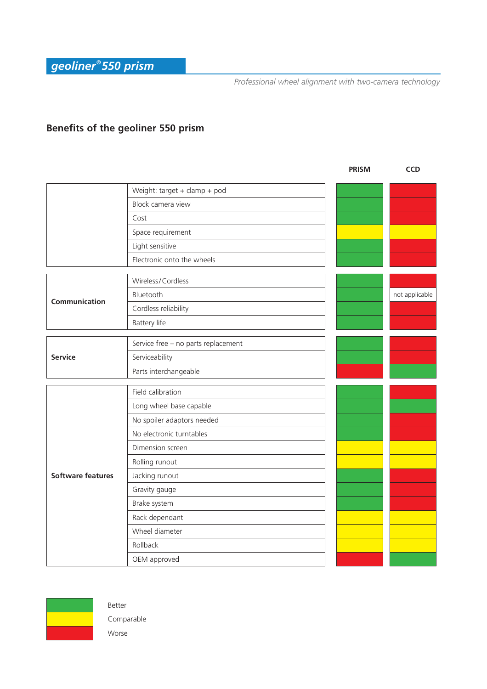## **Benefits of the geoliner 550 prism**

|                          |                                     | <b>PRISM</b> | <b>CCD</b>     |
|--------------------------|-------------------------------------|--------------|----------------|
|                          | Weight: target + clamp + pod        |              |                |
|                          | Block camera view                   |              |                |
|                          | Cost                                |              |                |
|                          | Space requirement                   |              |                |
|                          | Light sensitive                     |              |                |
|                          | Electronic onto the wheels          |              |                |
| Communication            | Wireless/Cordless                   |              |                |
|                          | Bluetooth                           |              | not applicable |
|                          | Cordless reliability                |              |                |
|                          | Battery life                        |              |                |
| <b>Service</b>           | Service free - no parts replacement |              |                |
|                          | Serviceability                      |              |                |
|                          | Parts interchangeable               |              |                |
|                          |                                     |              |                |
|                          | Field calibration                   |              |                |
| <b>Software features</b> | Long wheel base capable             |              |                |
|                          | No spoiler adaptors needed          |              |                |
|                          | No electronic turntables            |              |                |
|                          | Dimension screen                    |              |                |
|                          | Rolling runout                      |              |                |
|                          | Jacking runout                      |              |                |
|                          | Gravity gauge                       |              |                |
|                          | Brake system                        |              |                |
|                          | Rack dependant                      |              |                |
|                          | Wheel diameter                      |              |                |
|                          | Rollback                            |              |                |
|                          | OEM approved                        |              |                |



Better Comparable Worse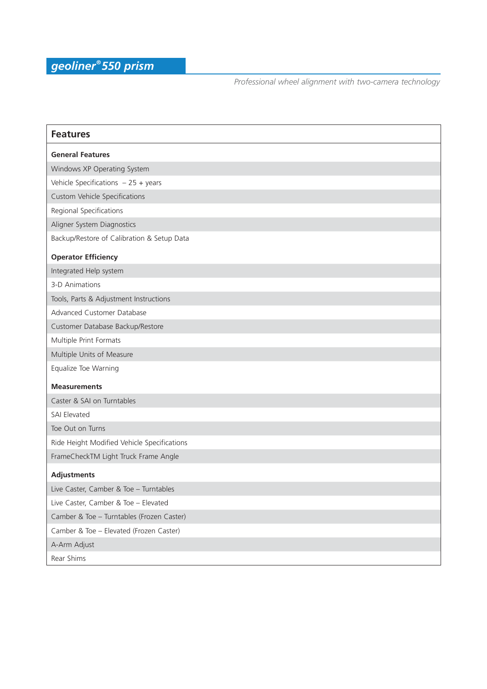| <b>Features</b>                             |  |  |
|---------------------------------------------|--|--|
| <b>General Features</b>                     |  |  |
| Windows XP Operating System                 |  |  |
| Vehicle Specifications $-25 + \text{years}$ |  |  |
| <b>Custom Vehicle Specifications</b>        |  |  |
| Regional Specifications                     |  |  |
| Aligner System Diagnostics                  |  |  |
| Backup/Restore of Calibration & Setup Data  |  |  |
| <b>Operator Efficiency</b>                  |  |  |
| Integrated Help system                      |  |  |
| 3-D Animations                              |  |  |
| Tools, Parts & Adjustment Instructions      |  |  |
| Advanced Customer Database                  |  |  |
| Customer Database Backup/Restore            |  |  |
| Multiple Print Formats                      |  |  |
| Multiple Units of Measure                   |  |  |
| Equalize Toe Warning                        |  |  |
| <b>Measurements</b>                         |  |  |
| Caster & SAI on Turntables                  |  |  |
| <b>SAI Elevated</b>                         |  |  |
| Toe Out on Turns                            |  |  |
| Ride Height Modified Vehicle Specifications |  |  |
| FrameCheckTM Light Truck Frame Angle        |  |  |
| <b>Adjustments</b>                          |  |  |
| Live Caster, Camber & Toe - Turntables      |  |  |
| Live Caster, Camber & Toe - Elevated        |  |  |
| Camber & Toe - Turntables (Frozen Caster)   |  |  |
| Camber & Toe - Elevated (Frozen Caster)     |  |  |
| A-Arm Adjust                                |  |  |
| Rear Shims                                  |  |  |